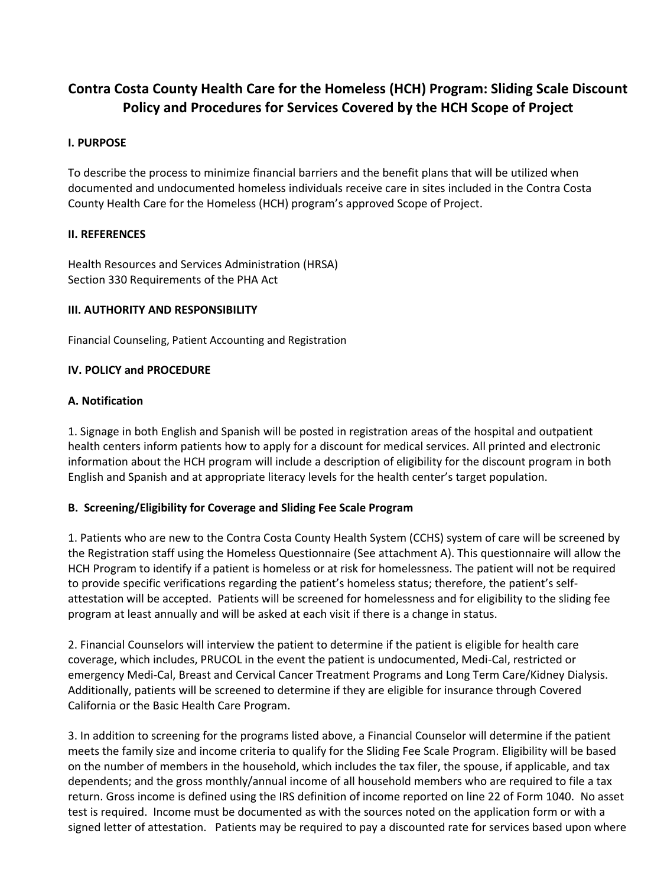# **Contra Costa County Health Care for the Homeless (HCH) Program: Sliding Scale Discount Policy and Procedures for Services Covered by the HCH Scope of Project**

### **I. PURPOSE**

To describe the process to minimize financial barriers and the benefit plans that will be utilized when documented and undocumented homeless individuals receive care in sites included in the Contra Costa County Health Care for the Homeless (HCH) program's approved Scope of Project.

#### **II. REFERENCES**

Health Resources and Services Administration (HRSA) Section 330 Requirements of the PHA Act

#### **III. AUTHORITY AND RESPONSIBILITY**

Financial Counseling, Patient Accounting and Registration

#### **IV. POLICY and PROCEDURE**

#### **A. Notification**

1. Signage in both English and Spanish will be posted in registration areas of the hospital and outpatient health centers inform patients how to apply for a discount for medical services. All printed and electronic information about the HCH program will include a description of eligibility for the discount program in both English and Spanish and at appropriate literacy levels for the health center's target population.

## **B. Screening/Eligibility for Coverage and Sliding Fee Scale Program**

1. Patients who are new to the Contra Costa County Health System (CCHS) system of care will be screened by the Registration staff using the Homeless Questionnaire (See attachment A). This questionnaire will allow the HCH Program to identify if a patient is homeless or at risk for homelessness. The patient will not be required to provide specific verifications regarding the patient's homeless status; therefore, the patient's selfattestation will be accepted. Patients will be screened for homelessness and for eligibility to the sliding fee program at least annually and will be asked at each visit if there is a change in status.

2. Financial Counselors will interview the patient to determine if the patient is eligible for health care coverage, which includes, PRUCOL in the event the patient is undocumented, Medi-Cal, restricted or emergency Medi-Cal, Breast and Cervical Cancer Treatment Programs and Long Term Care/Kidney Dialysis. Additionally, patients will be screened to determine if they are eligible for insurance through Covered California or the Basic Health Care Program.

3. In addition to screening for the programs listed above, a Financial Counselor will determine if the patient meets the family size and income criteria to qualify for the Sliding Fee Scale Program. Eligibility will be based on the number of members in the household, which includes the tax filer, the spouse, if applicable, and tax dependents; and the gross monthly/annual income of all household members who are required to file a tax return. Gross income is defined using the IRS definition of income reported on line 22 of Form 1040. No asset test is required. Income must be documented as with the sources noted on the application form or with a signed letter of attestation. Patients may be required to pay a discounted rate for services based upon where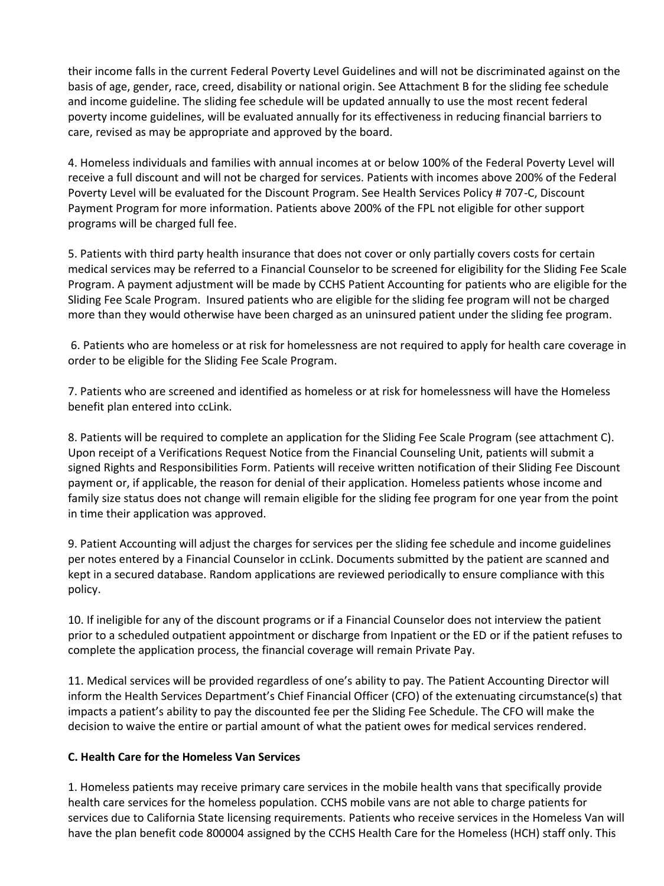their income falls in the current Federal Poverty Level Guidelines and will not be discriminated against on the basis of age, gender, race, creed, disability or national origin. See Attachment B for the sliding fee schedule and income guideline. The sliding fee schedule will be updated annually to use the most recent federal poverty income guidelines, will be evaluated annually for its effectiveness in reducing financial barriers to care, revised as may be appropriate and approved by the board.

4. Homeless individuals and families with annual incomes at or below 100% of the Federal Poverty Level will receive a full discount and will not be charged for services. Patients with incomes above 200% of the Federal Poverty Level will be evaluated for the Discount Program. See Health Services Policy # 707-C, Discount Payment Program for more information. Patients above 200% of the FPL not eligible for other support programs will be charged full fee.

5. Patients with third party health insurance that does not cover or only partially covers costs for certain medical services may be referred to a Financial Counselor to be screened for eligibility for the Sliding Fee Scale Program. A payment adjustment will be made by CCHS Patient Accounting for patients who are eligible for the Sliding Fee Scale Program. Insured patients who are eligible for the sliding fee program will not be charged more than they would otherwise have been charged as an uninsured patient under the sliding fee program.

 6. Patients who are homeless or at risk for homelessness are not required to apply for health care coverage in order to be eligible for the Sliding Fee Scale Program.

7. Patients who are screened and identified as homeless or at risk for homelessness will have the Homeless benefit plan entered into ccLink.

8. Patients will be required to complete an application for the Sliding Fee Scale Program (see attachment C). Upon receipt of a Verifications Request Notice from the Financial Counseling Unit, patients will submit a signed Rights and Responsibilities Form. Patients will receive written notification of their Sliding Fee Discount payment or, if applicable, the reason for denial of their application. Homeless patients whose income and family size status does not change will remain eligible for the sliding fee program for one year from the point in time their application was approved.

9. Patient Accounting will adjust the charges for services per the sliding fee schedule and income guidelines per notes entered by a Financial Counselor in ccLink. Documents submitted by the patient are scanned and kept in a secured database. Random applications are reviewed periodically to ensure compliance with this policy.

10. If ineligible for any of the discount programs or if a Financial Counselor does not interview the patient prior to a scheduled outpatient appointment or discharge from Inpatient or the ED or if the patient refuses to complete the application process, the financial coverage will remain Private Pay.

11. Medical services will be provided regardless of one's ability to pay. The Patient Accounting Director will inform the Health Services Department's Chief Financial Officer (CFO) of the extenuating circumstance(s) that impacts a patient's ability to pay the discounted fee per the Sliding Fee Schedule. The CFO will make the decision to waive the entire or partial amount of what the patient owes for medical services rendered.

## **C. Health Care for the Homeless Van Services**

1. Homeless patients may receive primary care services in the mobile health vans that specifically provide health care services for the homeless population. CCHS mobile vans are not able to charge patients for services due to California State licensing requirements. Patients who receive services in the Homeless Van will have the plan benefit code 800004 assigned by the CCHS Health Care for the Homeless (HCH) staff only. This